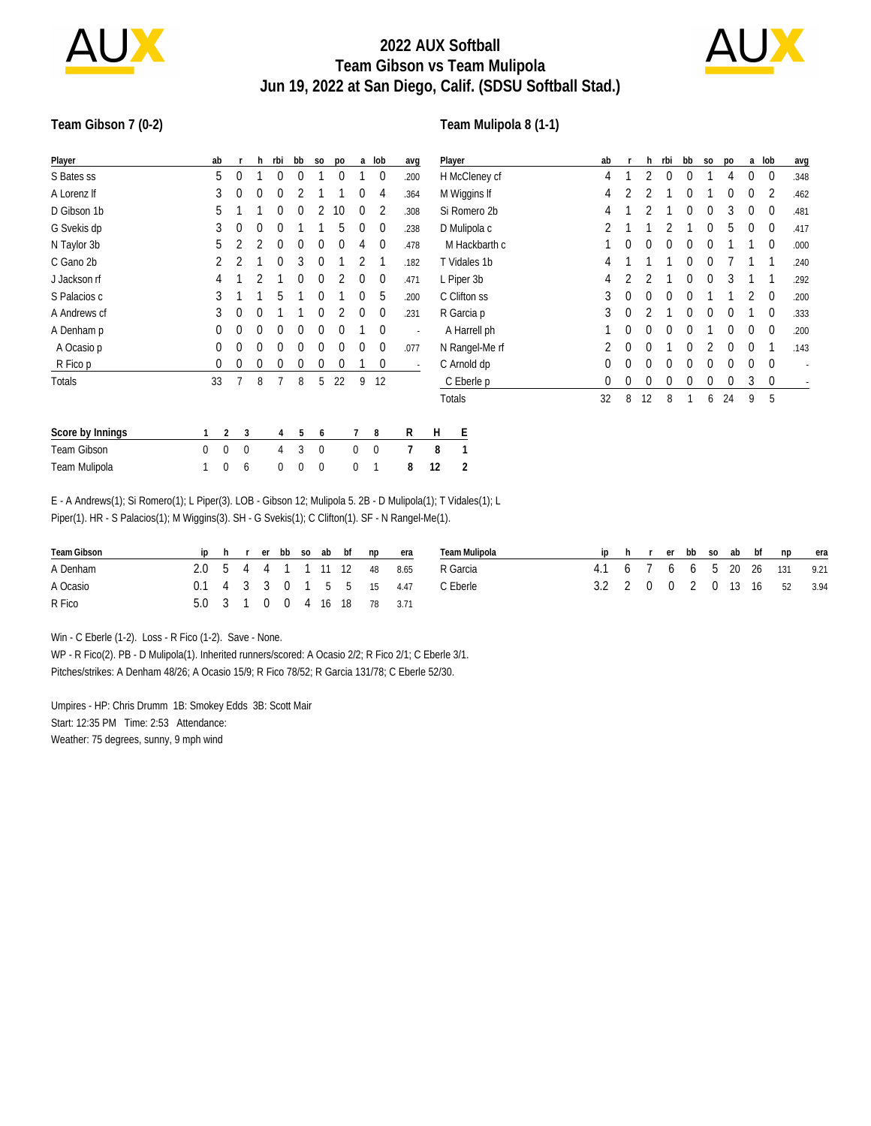

# **2022 AUX Softball Team Gibson vs Team Mulipola Jun 19, 2022 at San Diego, Calif. (SDSU Softball Stad.)**



### **Team Gibson 7 (0-2)**

### **Team Mulipola 8 (1-1)**

| Player           | ab           |                            | h.          | rbi            | bb           | <sub>SO</sub> | po          | a            | lob            | avg                      |    | Player         | ab           |              | h.           | rbi          | bb           | S <sub>0</sub> | po       |                | a lob       | avg  |
|------------------|--------------|----------------------------|-------------|----------------|--------------|---------------|-------------|--------------|----------------|--------------------------|----|----------------|--------------|--------------|--------------|--------------|--------------|----------------|----------|----------------|-------------|------|
| S Bates ss       | 5            | $\theta$                   |             | $\theta$       | $\mathbf 0$  |               | 0           |              | $\overline{0}$ | .200                     |    | H McCleney cf  | 4            |              |              | $\mathbf 0$  | $\bf{0}$     |                | 4        | 0              | $\mathbf 0$ | .348 |
| A Lorenz If      | 3            | 0                          | $\Omega$    | 0              | 2            |               |             | $\Omega$     | 4              | .364                     |    | M Wiggins If   | 4            |              |              |              | $\theta$     |                | $\theta$ | $\Omega$       |             | .462 |
| D Gibson 1b      | 5            |                            |             | 0              | $\Omega$     | 2             | 10          | 0            | 2              | .308                     |    | Si Romero 2b   | 4            |              |              |              | $\Omega$     | 0              | 3        | $\Omega$       | $\mathbf 0$ | .481 |
| G Svekis dp      | 3            | 0                          | $\Omega$    | 0              |              |               | 5           | 0            | $\mathbf 0$    | .238                     |    | D Mulipola c   |              |              |              |              |              | $\Omega$       | 5        | 0              | $\mathbf 0$ | .417 |
| N Taylor 3b      | 5            |                            |             | 0              | 0            | 0             | $\mathbf 0$ | 4            | $\mathbf 0$    | .478                     |    | M Hackbarth c  |              | 0            | $\mathbf{0}$ | $\mathbf 0$  | $\mathbf 0$  | $\mathbf 0$    |          |                | $\mathbf 0$ | .000 |
| C Gano 2b        |              |                            |             | $\theta$       | 3            | $\theta$      |             |              |                | .182                     |    | T Vidales 1b   | 4            |              |              |              | $\mathbf{0}$ | $\Omega$       |          |                |             | .240 |
| J Jackson rf     | 4            |                            |             |                | $\mathbf{0}$ | 0             | 2           | 0            | $\mathbf 0$    | .471                     |    | L Piper 3b     | 4            |              |              |              | $\mathbf{0}$ | $\Omega$       | 3        |                |             | .292 |
| S Palacios c     | 3            |                            |             | 5              |              | $\theta$      |             | $\Omega$     | 5              | .200                     |    | C Clifton ss   | 3            | $\mathbf{0}$ | $\Omega$     | $\mathbf{0}$ | $\theta$     |                |          | $\overline{2}$ | $\mathbf 0$ | .200 |
| A Andrews cf     | 3            | 0                          | $\mathbf 0$ |                |              | 0             |             | 0            | $\overline{0}$ | .231                     |    | R Garcia p     | 3            | 0            |              |              | $\mathbf 0$  | $\mathbf 0$    | 0        |                | $\mathbf 0$ | .333 |
| A Denham p       | 0            | 0                          | $\Omega$    | 0              | 0            | $\Omega$      | 0           |              | $\mathbf 0$    | $\overline{\phantom{a}}$ |    | A Harrell ph   |              | 0            | $\Omega$     | $\Omega$     | 0            |                | 0        | 0              | $\mathbf 0$ | .200 |
| A Ocasio p       | 0            | $\mathbf 0$                | $\Omega$    | $\bf{0}$       | 0            | 0             | 0           | 0            | $\mathbf 0$    | .077                     |    | N Rangel-Me rf | 2            | $\mathbf 0$  | $\Omega$     |              | $\Omega$     | 2              | 0        | 0              |             | .143 |
| R Fico p         | 0            | 0                          | 0           | 0              | 0            | 0             | 0           |              | $\mathbf{0}$   | $\overline{\phantom{a}}$ |    | C Arnold dp    | $\mathbf{0}$ | $\mathbf{0}$ | $\Omega$     | $\Omega$     | $\Omega$     | $\Omega$       | $\Omega$ | 0              | $\mathbf 0$ |      |
| Totals           | 33           | $\overline{7}$             | 8           | $\overline{7}$ | 8            | 5             | 22          | 9            | 12             |                          |    | C Eberle p     | $\mathbf{0}$ | $\Omega$     | $\Omega$     | $\Omega$     | $\mathbf{0}$ | $\Omega$       | $\Omega$ | 3              | $\mathbf 0$ |      |
|                  |              |                            |             |                |              |               |             |              |                |                          |    | Totals         | 32           | 8            | 12           | 8            | $\mathbf{1}$ | 6              | 24       | 9              | -5          |      |
| Score by Innings |              | 2                          | 3           | $\overline{4}$ | 5            | 6             |             |              | 8              | R                        | H  | E              |              |              |              |              |              |                |          |                |             |      |
| Team Gibson      | $\mathbf{0}$ | $\mathbf 0$<br>$\mathbf 0$ |             | 4              | 3            | $\mathbf 0$   |             | $\mathbf{0}$ | $\mathbf{0}$   |                          | 8  | 1              |              |              |              |              |              |                |          |                |             |      |
| Team Mulipola    |              | 0<br>6                     |             | $\mathbf{0}$   | 0            | $\mathbf 0$   |             | 0            |                | 8                        | 12 | 2              |              |              |              |              |              |                |          |                |             |      |

E - A Andrews(1); Si Romero(1); L Piper(3). LOB - Gibson 12; Mulipola 5. 2B - D Mulipola(1); T Vidales(1); L Piper(1). HR - S Palacios(1); M Wiggins(3). SH - G Svekis(1); C Clifton(1). SF - N Rangel-Me(1).

| Team Gibson |  |  |  |  | ip hrerbbsoabbfnp | era                         | Team Mulipola |  |  |  |  | ip h r er bb so ab bf np     | era |
|-------------|--|--|--|--|-------------------|-----------------------------|---------------|--|--|--|--|------------------------------|-----|
| A Denham    |  |  |  |  |                   | 2.0 5 4 4 1 1 11 12 48 8.65 | R Garcia      |  |  |  |  | 4.1 6 7 6 6 5 20 26 131 9.21 |     |
| A Ocasio    |  |  |  |  |                   | 0.1 4 3 3 0 1 5 5 15 4.47   | C Eberle      |  |  |  |  | 3.2 2 0 0 2 0 13 16 52 3.94  |     |
| R Fico      |  |  |  |  |                   | 5.0 3 1 0 0 4 16 18 78 3.71 |               |  |  |  |  |                              |     |

Win - C Eberle (1-2). Loss - R Fico (1-2). Save - None.

WP - R Fico(2). PB - D Mulipola(1). Inherited runners/scored: A Ocasio 2/2; R Fico 2/1; C Eberle 3/1. Pitches/strikes: A Denham 48/26; A Ocasio 15/9; R Fico 78/52; R Garcia 131/78; C Eberle 52/30.

Umpires - HP: Chris Drumm 1B: Smokey Edds 3B: Scott Mair Start: 12:35 PM Time: 2:53 Attendance: Weather: 75 degrees, sunny, 9 mph wind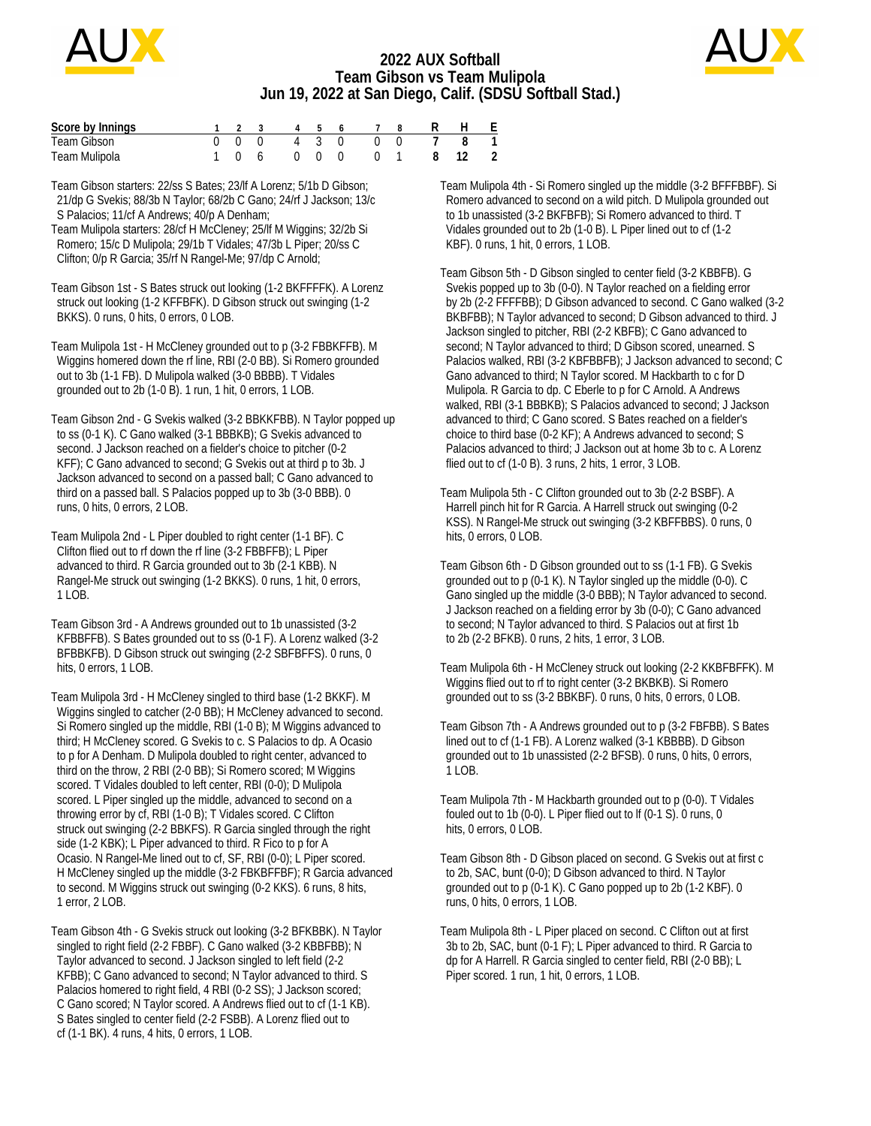

## **2022 AUX Softball Team Gibson vs Team Mulipola Jun 19, 2022 at San Diego, Calif. (SDSU Softball Stad.)**



| Score by Innings |  |       |                                                                                                                                                                                                                                                                                                                                                                                                                                                                                                   |  | 2 3 4 5 6 7 |          |    | - F |
|------------------|--|-------|---------------------------------------------------------------------------------------------------------------------------------------------------------------------------------------------------------------------------------------------------------------------------------------------------------------------------------------------------------------------------------------------------------------------------------------------------------------------------------------------------|--|-------------|----------|----|-----|
| Team Gibson      |  |       | 0 0 0 4 3 0                                                                                                                                                                                                                                                                                                                                                                                                                                                                                       |  |             |          | 78 |     |
| Team Mulipola    |  | 1 0 6 | $\begin{array}{ccc} & & & \text{if } & \text{if } & \text{if } & \text{if } & \text{if } & \text{if } & \text{if } & \text{if } & \text{if } & \text{if } & \text{if } & \text{if } & \text{if } & \text{if } & \text{if } & \text{if } & \text{if } & \text{if } & \text{if } & \text{if } & \text{if } & \text{if } & \text{if } & \text{if } & \text{if } & \text{if } & \text{if } & \text{if } & \text{if } & \text{if } & \text{if } & \text{if } & \text{if } & \text{if } & \text{if } &$ |  |             | 0 1 8 12 |    |     |

Team Gibson starters: 22/ss S Bates; 23/lf A Lorenz; 5/1b D Gibson; 21/dp G Svekis; 88/3b N Taylor; 68/2b C Gano; 24/rf J Jackson; 13/c S Palacios; 11/cf A Andrews; 40/p A Denham;

Team Mulipola starters: 28/cf H McCleney; 25/lf M Wiggins; 32/2b Si Romero; 15/c D Mulipola; 29/1b T Vidales; 47/3b L Piper; 20/ss C Clifton; 0/p R Garcia; 35/rf N Rangel-Me; 97/dp C Arnold;

Team Gibson 1st - S Bates struck out looking (1-2 BKFFFFK). A Lorenz struck out looking (1-2 KFFBFK). D Gibson struck out swinging (1-2 BKKS). 0 runs, 0 hits, 0 errors, 0 LOB.

Team Mulipola 1st - H McCleney grounded out to p (3-2 FBBKFFB). M Wiggins homered down the rf line, RBI (2-0 BB). Si Romero grounded out to 3b (1-1 FB). D Mulipola walked (3-0 BBBB). T Vidales grounded out to 2b (1-0 B). 1 run, 1 hit, 0 errors, 1 LOB.

Team Gibson 2nd - G Svekis walked (3-2 BBKKFBB). N Taylor popped up to ss (0-1 K). C Gano walked (3-1 BBBKB); G Svekis advanced to second. J Jackson reached on a fielder's choice to pitcher (0-2 KFF); C Gano advanced to second; G Svekis out at third p to 3b. J Jackson advanced to second on a passed ball; C Gano advanced to third on a passed ball. S Palacios popped up to 3b (3-0 BBB). 0 runs, 0 hits, 0 errors, 2 LOB.

Team Mulipola 2nd - L Piper doubled to right center (1-1 BF). C Clifton flied out to rf down the rf line (3-2 FBBFFB); L Piper advanced to third. R Garcia grounded out to 3b (2-1 KBB). N Rangel-Me struck out swinging (1-2 BKKS). 0 runs, 1 hit, 0 errors, 1 LOB.

Team Gibson 3rd - A Andrews grounded out to 1b unassisted (3-2 KFBBFFB). S Bates grounded out to ss (0-1 F). A Lorenz walked (3-2 BFBBKFB). D Gibson struck out swinging (2-2 SBFBFFS). 0 runs, 0 hits, 0 errors, 1 LOB.

Team Mulipola 3rd - H McCleney singled to third base (1-2 BKKF). M Wiggins singled to catcher (2-0 BB); H McCleney advanced to second. Si Romero singled up the middle, RBI (1-0 B); M Wiggins advanced to third; H McCleney scored. G Svekis to c. S Palacios to dp. A Ocasio to p for A Denham. D Mulipola doubled to right center, advanced to third on the throw, 2 RBI (2-0 BB); Si Romero scored; M Wiggins scored. T Vidales doubled to left center, RBI (0-0); D Mulipola scored. L Piper singled up the middle, advanced to second on a throwing error by cf, RBI (1-0 B); T Vidales scored. C Clifton struck out swinging (2-2 BBKFS). R Garcia singled through the right side (1-2 KBK); L Piper advanced to third. R Fico to p for A Ocasio. N Rangel-Me lined out to cf, SF, RBI (0-0); L Piper scored. H McCleney singled up the middle (3-2 FBKBFFBF); R Garcia advanced to second. M Wiggins struck out swinging (0-2 KKS). 6 runs, 8 hits, 1 error, 2 LOB.

Team Gibson 4th - G Svekis struck out looking (3-2 BFKBBK). N Taylor singled to right field (2-2 FBBF). C Gano walked (3-2 KBBFBB); N Taylor advanced to second. J Jackson singled to left field (2-2 KFBB); C Gano advanced to second; N Taylor advanced to third. S Palacios homered to right field, 4 RBI (0-2 SS); J Jackson scored; C Gano scored; N Taylor scored. A Andrews flied out to cf (1-1 KB). S Bates singled to center field (2-2 FSBB). A Lorenz flied out to cf (1-1 BK). 4 runs, 4 hits, 0 errors, 1 LOB.

Team Mulipola 4th - Si Romero singled up the middle (3-2 BFFFBBF). Si Romero advanced to second on a wild pitch. D Mulipola grounded out to 1b unassisted (3-2 BKFBFB); Si Romero advanced to third. T Vidales grounded out to 2b (1-0 B). L Piper lined out to cf (1-2 KBF). 0 runs, 1 hit, 0 errors, 1 LOB.

Team Gibson 5th - D Gibson singled to center field (3-2 KBBFB). G Svekis popped up to 3b (0-0). N Taylor reached on a fielding error by 2b (2-2 FFFFBB); D Gibson advanced to second. C Gano walked (3-2 BKBFBB); N Taylor advanced to second; D Gibson advanced to third. J Jackson singled to pitcher, RBI (2-2 KBFB); C Gano advanced to second; N Taylor advanced to third; D Gibson scored, unearned. S Palacios walked, RBI (3-2 KBFBBFB); J Jackson advanced to second; C Gano advanced to third; N Taylor scored. M Hackbarth to c for D Mulipola. R Garcia to dp. C Eberle to p for C Arnold. A Andrews walked, RBI (3-1 BBBKB); S Palacios advanced to second; J Jackson advanced to third; C Gano scored. S Bates reached on a fielder's choice to third base (0-2 KF); A Andrews advanced to second; S Palacios advanced to third; J Jackson out at home 3b to c. A Lorenz flied out to cf (1-0 B). 3 runs, 2 hits, 1 error, 3 LOB.

Team Mulipola 5th - C Clifton grounded out to 3b (2-2 BSBF). A Harrell pinch hit for R Garcia. A Harrell struck out swinging (0-2 KSS). N Rangel-Me struck out swinging (3-2 KBFFBBS). 0 runs, 0 hits, 0 errors, 0 LOB.

Team Gibson 6th - D Gibson grounded out to ss (1-1 FB). G Svekis grounded out to p (0-1 K). N Taylor singled up the middle (0-0). C Gano singled up the middle (3-0 BBB); N Taylor advanced to second. J Jackson reached on a fielding error by 3b (0-0); C Gano advanced to second; N Taylor advanced to third. S Palacios out at first 1b to 2b (2-2 BFKB). 0 runs, 2 hits, 1 error, 3 LOB.

Team Mulipola 6th - H McCleney struck out looking (2-2 KKBFBFFK). M Wiggins flied out to rf to right center (3-2 BKBKB). Si Romero grounded out to ss (3-2 BBKBF). 0 runs, 0 hits, 0 errors, 0 LOB.

Team Gibson 7th - A Andrews grounded out to p (3-2 FBFBB). S Bates lined out to cf (1-1 FB). A Lorenz walked (3-1 KBBBB). D Gibson grounded out to 1b unassisted (2-2 BFSB). 0 runs, 0 hits, 0 errors, 1 LOB.

Team Mulipola 7th - M Hackbarth grounded out to p (0-0). T Vidales fouled out to 1b (0-0). L Piper flied out to lf (0-1 S). 0 runs, 0 hits, 0 errors, 0 LOB.

Team Gibson 8th - D Gibson placed on second. G Svekis out at first c to 2b, SAC, bunt (0-0); D Gibson advanced to third. N Taylor grounded out to p (0-1 K). C Gano popped up to 2b (1-2 KBF). 0 runs, 0 hits, 0 errors, 1 LOB.

Team Mulipola 8th - L Piper placed on second. C Clifton out at first 3b to 2b, SAC, bunt (0-1 F); L Piper advanced to third. R Garcia to dp for A Harrell. R Garcia singled to center field, RBI (2-0 BB); L Piper scored. 1 run, 1 hit, 0 errors, 1 LOB.